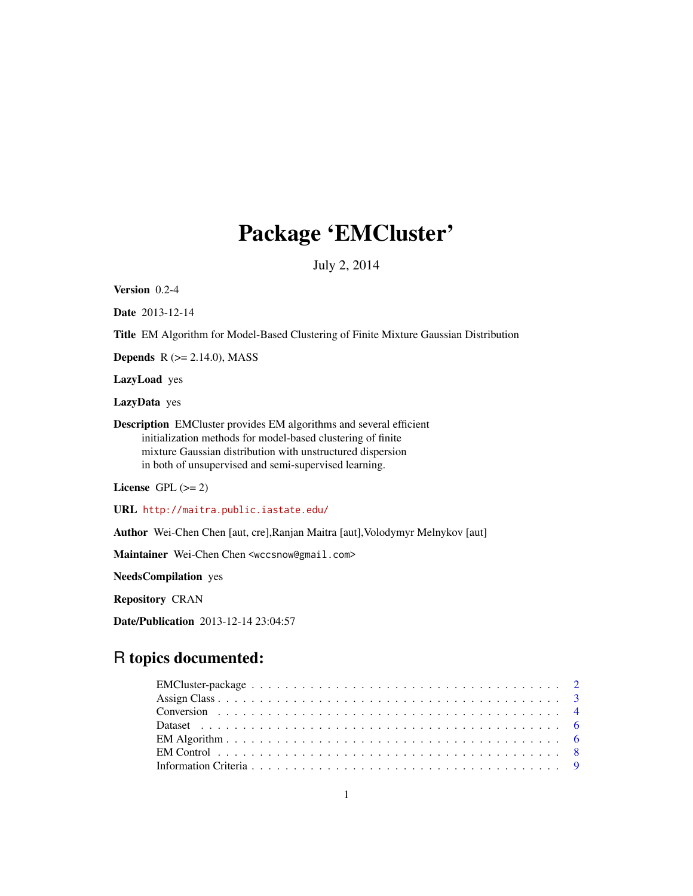# Package 'EMCluster'

July 2, 2014

Version 0.2-4

Date 2013-12-14

Title EM Algorithm for Model-Based Clustering of Finite Mixture Gaussian Distribution

**Depends**  $R$  ( $>= 2.14.0$ ), MASS

LazyLoad yes

LazyData yes

Description EMCluster provides EM algorithms and several efficient initialization methods for model-based clustering of finite mixture Gaussian distribution with unstructured dispersion in both of unsupervised and semi-supervised learning.

License GPL  $(>= 2)$ 

URL <http://maitra.public.iastate.edu/>

Author Wei-Chen Chen [aut, cre],Ranjan Maitra [aut],Volodymyr Melnykov [aut]

Maintainer Wei-Chen Chen <wccsnow@gmail.com>

NeedsCompilation yes

Repository CRAN

Date/Publication 2013-12-14 23:04:57

# R topics documented: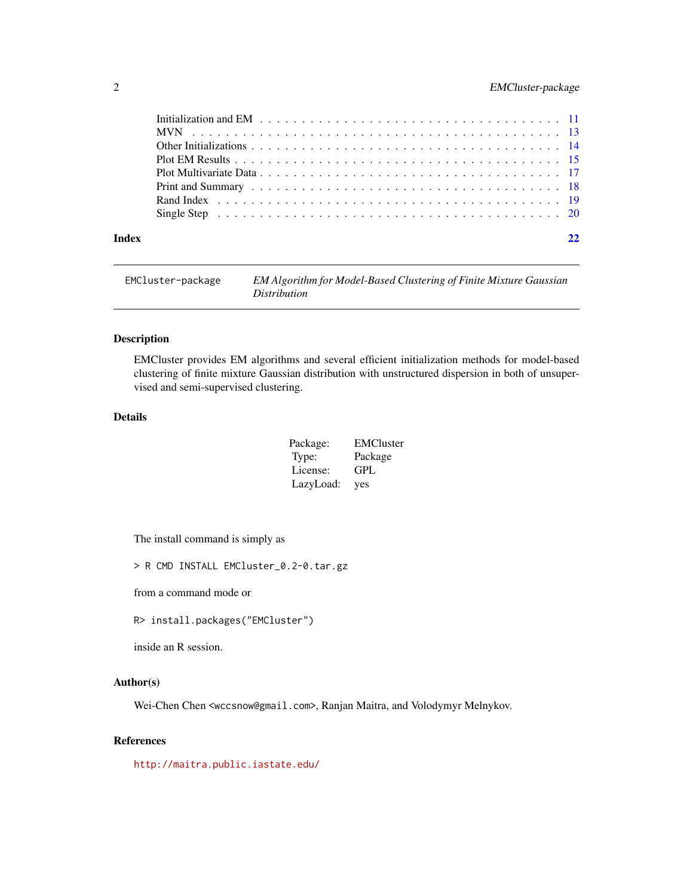# <span id="page-1-0"></span>2 EMCluster-package

| Index |  |  |  |  |  |  |  |  |  |  |  |  |  |  |  |  |  |  |
|-------|--|--|--|--|--|--|--|--|--|--|--|--|--|--|--|--|--|--|

| EMCluster-package | EM Algorithm for Model-Based Clustering of Finite Mixture Gaussian |
|-------------------|--------------------------------------------------------------------|
|                   | <i>Distribution</i>                                                |

# Description

EMCluster provides EM algorithms and several efficient initialization methods for model-based clustering of finite mixture Gaussian distribution with unstructured dispersion in both of unsupervised and semi-supervised clustering.

# Details

| Package:  | <b>EMCluster</b> |
|-----------|------------------|
| Type:     | Package          |
| License:  | GPL              |
| LazyLoad: | yes              |

The install command is simply as

> R CMD INSTALL EMCluster\_0.2-0.tar.gz

from a command mode or

R> install.packages("EMCluster")

inside an R session.

#### Author(s)

Wei-Chen Chen <wccsnow@gmail.com>, Ranjan Maitra, and Volodymyr Melnykov.

# References

<http://maitra.public.iastate.edu/>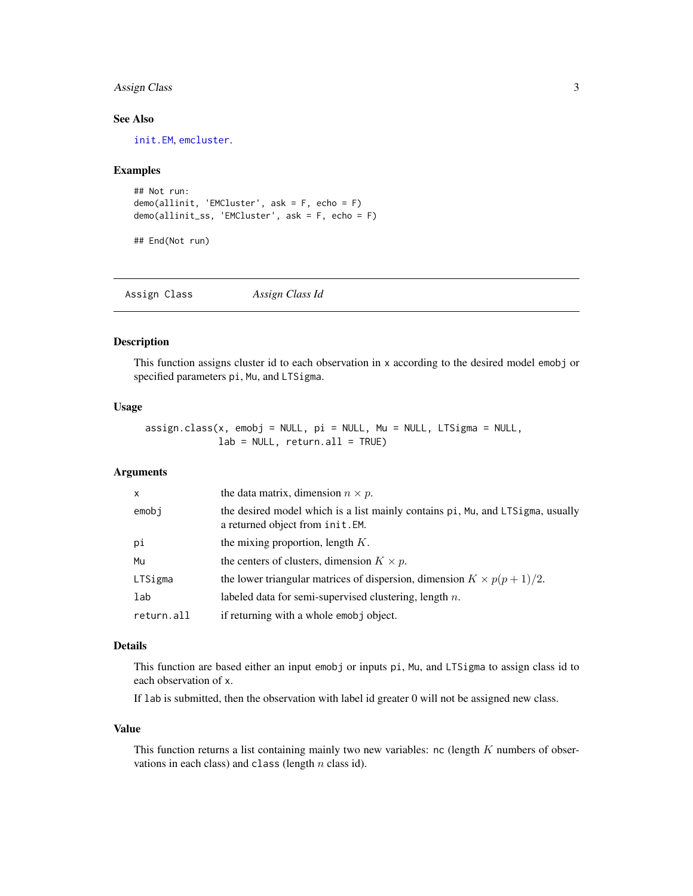# <span id="page-2-0"></span>Assign Class 3

# See Also

[init.EM](#page-10-1), [emcluster](#page-5-1).

#### Examples

```
## Not run:
demo(allinit, 'EMCluster', ask = F, echo = F)
demo(allinit_ss, 'EMCluster', ask = F, echo = F)
```
## End(Not run)

Assign Class *Assign Class Id*

# Description

This function assigns cluster id to each observation in x according to the desired model emobj or specified parameters pi, Mu, and LTSigma.

#### Usage

assign.class(x, emobj = NULL, pi = NULL, Mu = NULL, LTSigma = NULL,  $lab = NULL, return.al1 = TRUE)$ 

#### Arguments

| $\mathsf{x}$ | the data matrix, dimension $n \times p$ .                                                                          |
|--------------|--------------------------------------------------------------------------------------------------------------------|
| emobi        | the desired model which is a list mainly contains pi, Mu, and LTSigma, usually<br>a returned object from init. EM. |
| рi           | the mixing proportion, length $K$ .                                                                                |
| Mu           | the centers of clusters, dimension $K \times p$ .                                                                  |
| LTSigma      | the lower triangular matrices of dispersion, dimension $K \times p(p+1)/2$ .                                       |
| lab          | labeled data for semi-supervised clustering, length $n$ .                                                          |
| return.all   | if returning with a whole emobj object.                                                                            |

#### Details

This function are based either an input emobj or inputs pi, Mu, and LTSigma to assign class id to each observation of x.

If lab is submitted, then the observation with label id greater 0 will not be assigned new class.

#### Value

This function returns a list containing mainly two new variables: nc (length  $K$  numbers of observations in each class) and class (length  $n$  class id).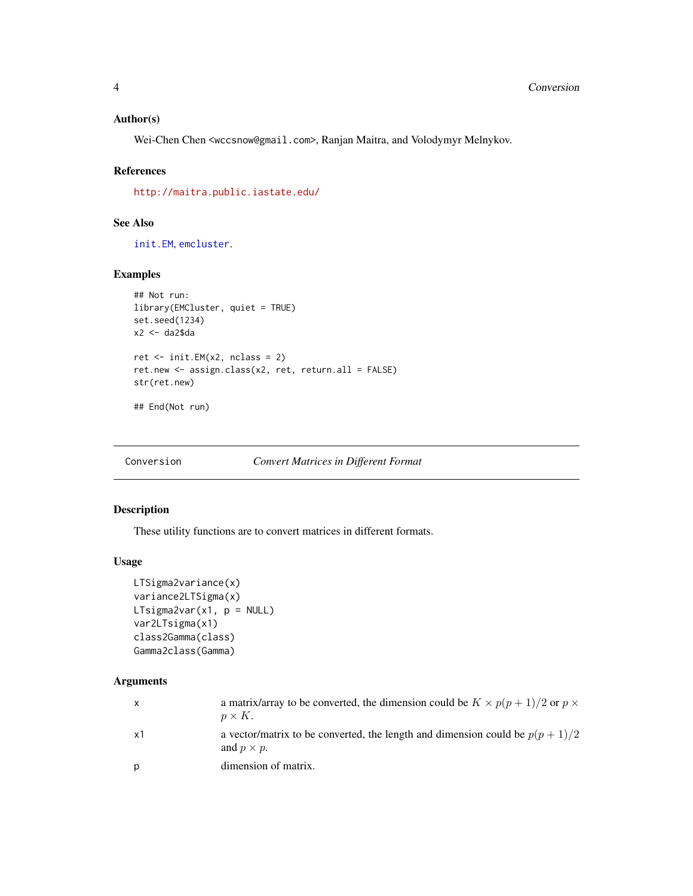# <span id="page-3-0"></span>Author(s)

Wei-Chen Chen <wccsnow@gmail.com>, Ranjan Maitra, and Volodymyr Melnykov.

# References

<http://maitra.public.iastate.edu/>

# See Also

[init.EM](#page-10-1), [emcluster](#page-5-1).

# Examples

```
## Not run:
library(EMCluster, quiet = TRUE)
set.seed(1234)
x2 <- da2$da
ret \le init. EM(x2, nclass = 2)
ret.new <- assign.class(x2, ret, return.all = FALSE)
str(ret.new)
## End(Not run)
```
Conversion *Convert Matrices in Different Format*

# Description

These utility functions are to convert matrices in different formats.

#### Usage

```
LTSigma2variance(x)
variance2LTSigma(x)
LTsigma2var(x1, p = NULL)
var2LTsigma(x1)
class2Gamma(class)
Gamma2class(Gamma)
```

| $\mathsf{x}$ | a matrix/array to be converted, the dimension could be $K \times p(p+1)/2$ or $p \times p$<br>$p \times K$ . |
|--------------|--------------------------------------------------------------------------------------------------------------|
| x1           | a vector/matrix to be converted, the length and dimension could be $p(p+1)/2$<br>and $p \times p$ .          |
| p            | dimension of matrix.                                                                                         |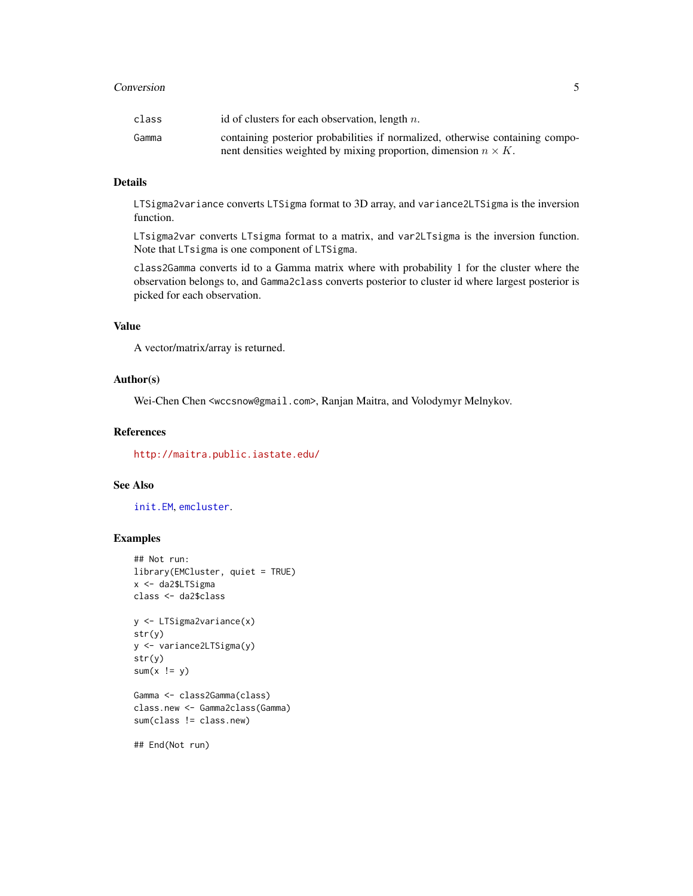#### <span id="page-4-0"></span>**Conversion** 5

| class | id of clusters for each observation, length $n$ .                             |
|-------|-------------------------------------------------------------------------------|
| Gamma | containing posterior probabilities if normalized, otherwise containing compo- |
|       | nent densities weighted by mixing proportion, dimension $n \times K$ .        |

#### Details

LTSigma2variance converts LTSigma format to 3D array, and variance2LTSigma is the inversion function.

LTsigma2var converts LTsigma format to a matrix, and var2LTsigma is the inversion function. Note that LTsigma is one component of LTSigma.

class2Gamma converts id to a Gamma matrix where with probability 1 for the cluster where the observation belongs to, and Gamma2class converts posterior to cluster id where largest posterior is picked for each observation.

# Value

A vector/matrix/array is returned.

#### Author(s)

Wei-Chen Chen <wccsnow@gmail.com>, Ranjan Maitra, and Volodymyr Melnykov.

#### References

<http://maitra.public.iastate.edu/>

# See Also

[init.EM](#page-10-1), [emcluster](#page-5-1).

```
## Not run:
library(EMCluster, quiet = TRUE)
x <- da2$LTSigma
class <- da2$class
y <- LTSigma2variance(x)
str(y)
y <- variance2LTSigma(y)
str(y)
sum(x != y)Gamma <- class2Gamma(class)
class.new <- Gamma2class(Gamma)
sum(class != class.new)
## End(Not run)
```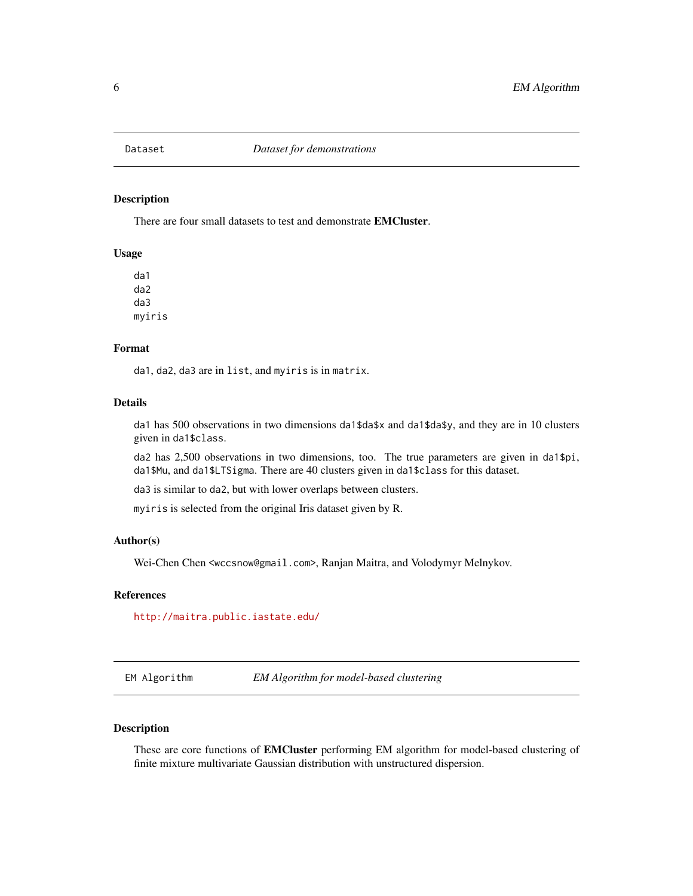<span id="page-5-0"></span>

# Description

There are four small datasets to test and demonstrate **EMCluster**.

#### Usage

da1 da2 da3 myiris

# Format

da1, da2, da3 are in list, and myiris is in matrix.

#### Details

da1 has 500 observations in two dimensions da1\$da\$x and da1\$da\$y, and they are in 10 clusters given in da1\$class.

da2 has 2,500 observations in two dimensions, too. The true parameters are given in da1\$pi, da1\$Mu, and da1\$LTSigma. There are 40 clusters given in da1\$class for this dataset.

da3 is similar to da2, but with lower overlaps between clusters.

myiris is selected from the original Iris dataset given by R.

# Author(s)

Wei-Chen Chen <wccsnow@gmail.com>, Ranjan Maitra, and Volodymyr Melnykov.

#### References

<http://maitra.public.iastate.edu/>

EM Algorithm *EM Algorithm for model-based clustering*

# <span id="page-5-1"></span>Description

These are core functions of EMCluster performing EM algorithm for model-based clustering of finite mixture multivariate Gaussian distribution with unstructured dispersion.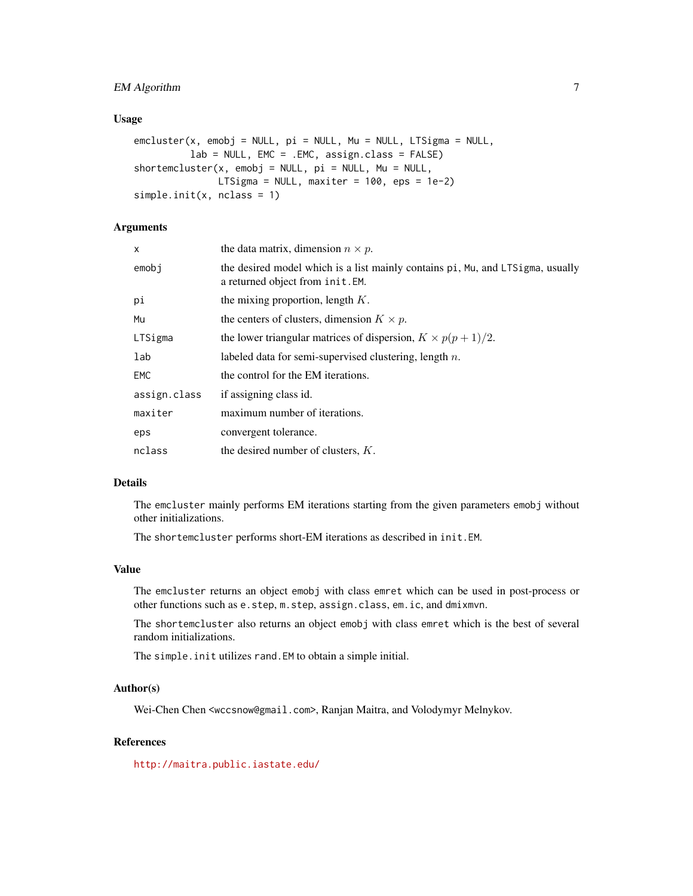# EM Algorithm 7

#### Usage

```
emcluster(x, emobj = NULL, pi = NULL, Mu = NULL, LTSigma = NULL,
         lab = NULL, EMC = .EMC, assign.class = FALSE)
shortemcluster(x, emobj = NULL, pi = NULL, Mu = NULL,LTSigma = NULL, maxiter = 100, eps = 1e-2)
simple.init(x, nclass = 1)
```
## Arguments

| x            | the data matrix, dimension $n \times p$ .                                                                          |
|--------------|--------------------------------------------------------------------------------------------------------------------|
| emobj        | the desired model which is a list mainly contains pi, Mu, and LTSigma, usually<br>a returned object from init. EM. |
| рi           | the mixing proportion, length $K$ .                                                                                |
| Mu           | the centers of clusters, dimension $K \times p$ .                                                                  |
| LTSigma      | the lower triangular matrices of dispersion, $K \times p(p+1)/2$ .                                                 |
| lab          | labeled data for semi-supervised clustering, length $n$ .                                                          |
| EMC          | the control for the EM iterations.                                                                                 |
| assign.class | if assigning class id.                                                                                             |
| maxiter      | maximum number of iterations.                                                                                      |
| eps          | convergent tolerance.                                                                                              |
| nclass       | the desired number of clusters, $K$ .                                                                              |

# Details

The emcluster mainly performs EM iterations starting from the given parameters emobj without other initializations.

The shortemcluster performs short-EM iterations as described in init.EM.

#### Value

The emcluster returns an object emobj with class emret which can be used in post-process or other functions such as e.step, m.step, assign.class, em.ic, and dmixmvn.

The shortemcluster also returns an object emobj with class emret which is the best of several random initializations.

The simple.init utilizes rand.EM to obtain a simple initial.

#### Author(s)

Wei-Chen Chen <wccsnow@gmail.com>, Ranjan Maitra, and Volodymyr Melnykov.

# References

<http://maitra.public.iastate.edu/>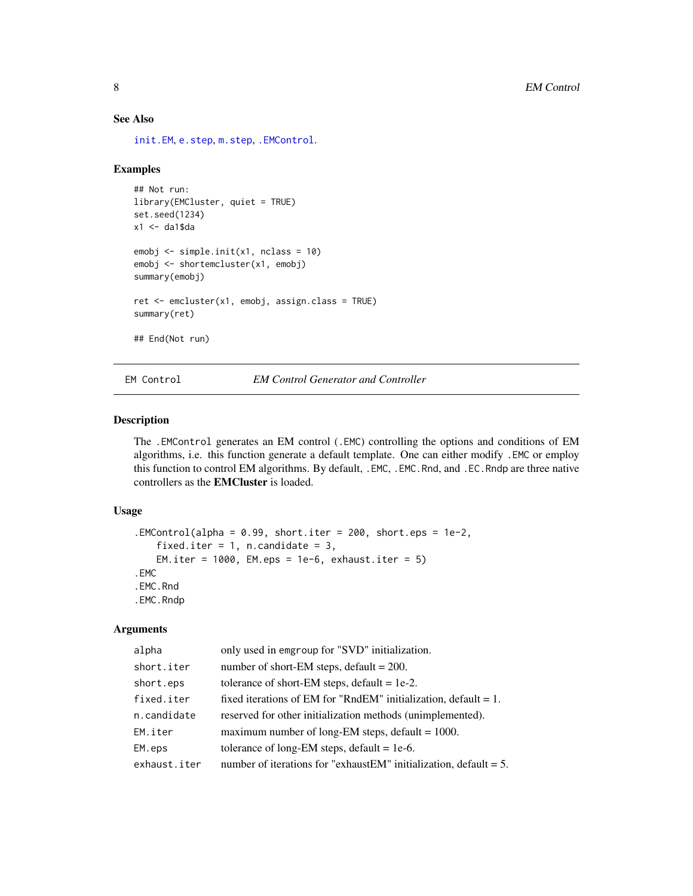# See Also

[init.EM](#page-10-1), [e.step](#page-19-1), [m.step](#page-19-1), [.EMControl](#page-7-1).

#### Examples

```
## Not run:
library(EMCluster, quiet = TRUE)
set.seed(1234)
x1 \leftarrow da1$da
emobj <- simple.init(x1, nclass = 10)
emobj <- shortemcluster(x1, emobj)
summary(emobj)
ret <- emcluster(x1, emobj, assign.class = TRUE)
summary(ret)
## End(Not run)
```
EM Control *EM Control Generator and Controller*

#### <span id="page-7-1"></span>Description

The .EMControl generates an EM control (.EMC) controlling the options and conditions of EM algorithms, i.e. this function generate a default template. One can either modify .EMC or employ this function to control EM algorithms. By default, .EMC, .EMC.Rnd, and .EC.Rndp are three native controllers as the EMCluster is loaded.

# Usage

```
.EMControl(alpha = 0.99, short.iter = 200, short.eps = 1e-2,
   fixed.iter = 1, n.candidate = 3,
   EM.iter = 1000, EM.eps = 1e-6, exhaust.iter = 5).EMC
.EMC.Rnd
.EMC.Rndp
```

| alpha        | only used in emgroup for "SVD" initialization.                        |
|--------------|-----------------------------------------------------------------------|
| short.iter   | number of short-EM steps, default = $200$ .                           |
| short.eps    | tolerance of short-EM steps, default = $1e-2$ .                       |
| fixed.iter   | fixed iterations of EM for "RndEM" initialization, default $= 1$ .    |
| n.candidate  | reserved for other initialization methods (unimplemented).            |
| EM.iter      | maximum number of long-EM steps, default $= 1000$ .                   |
| EM.eps       | tolerance of long-EM steps, default = $1e-6$ .                        |
| exhaust.iter | number of iterations for "exhaust EM" initialization, default $= 5$ . |

<span id="page-7-0"></span>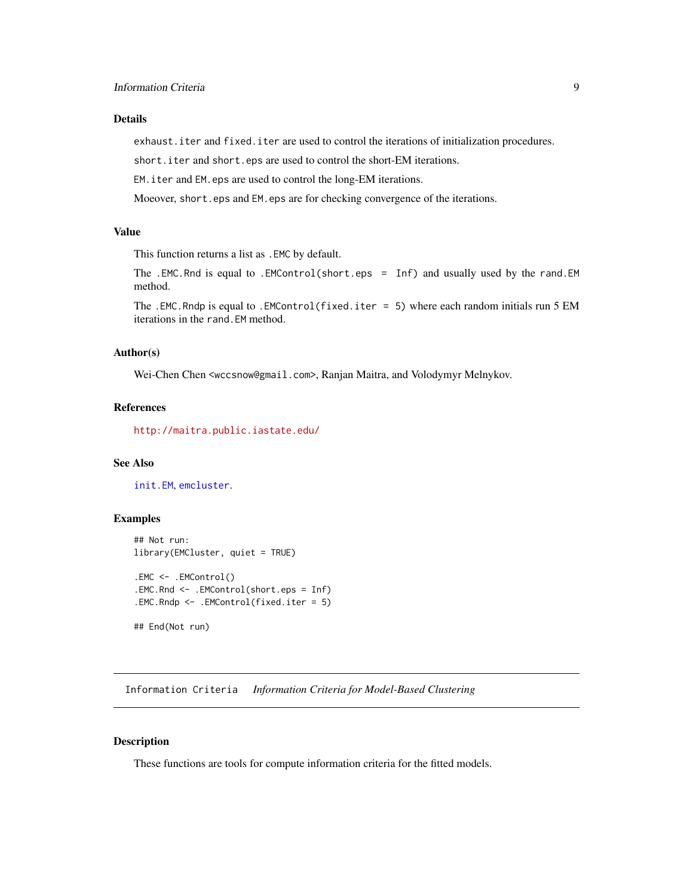### <span id="page-8-0"></span>Details

exhaust.iter and fixed.iter are used to control the iterations of initialization procedures.

short.iter and short.eps are used to control the short-EM iterations.

EM.iter and EM.eps are used to control the long-EM iterations.

Moeover, short.eps and EM.eps are for checking convergence of the iterations.

# Value

This function returns a list as .EMC by default.

The .EMC.Rnd is equal to .EMControl(short.eps = Inf) and usually used by the rand.EM method.

The .EMC.Rndp is equal to .EMControl(fixed.iter = 5) where each random initials run 5 EM iterations in the rand.EM method.

#### Author(s)

Wei-Chen Chen <wccsnow@gmail.com>, Ranjan Maitra, and Volodymyr Melnykov.

#### References

<http://maitra.public.iastate.edu/>

#### See Also

[init.EM](#page-10-1), [emcluster](#page-5-1).

#### Examples

```
## Not run:
library(EMCluster, quiet = TRUE)
.EMC <- .EMControl()
.EMC.Rnd <- .EMControl(short.eps = Inf)
.EMC.Rndp <- .EMControl(fixed.iter = 5)
```
## End(Not run)

Information Criteria *Information Criteria for Model-Based Clustering*

# Description

These functions are tools for compute information criteria for the fitted models.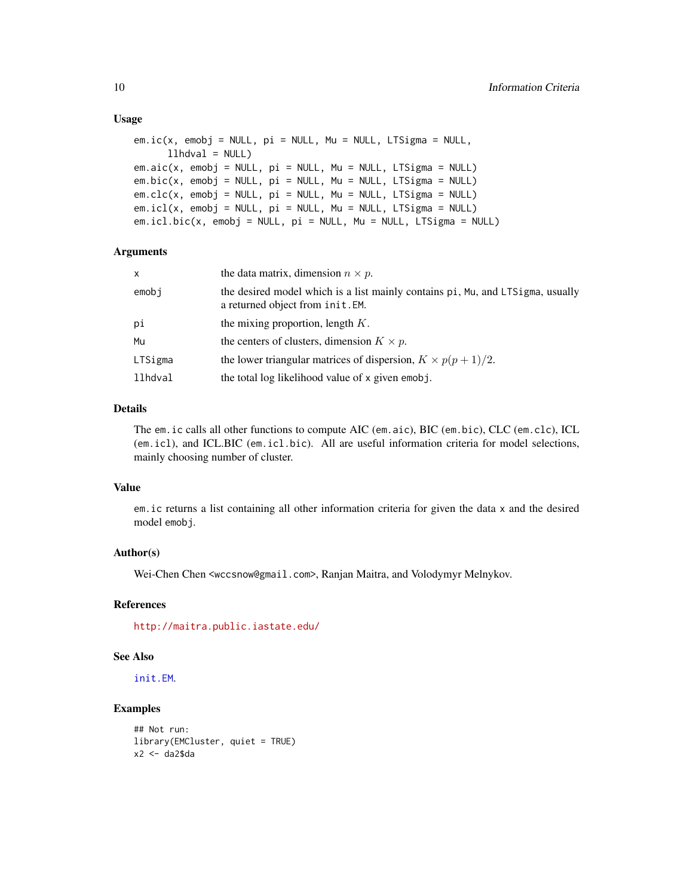#### Usage

```
em.i c(x, emobj = NULL, pi = NULL, Mu = NULL, LTSigma = NULL,llhdval = NULL)em.aic(x, embj = NULL, pi = NULL, Mu = NULL, LTSigma = NULL)em.bic(x, emobj = NULL, pi = NULL, Mu = NULL, LTSigma = NULL)em.\text{clc}(x, emb) = NULL, pi = NULL, Mu = NULL, LTSigma = NULL)em.icl(x, embj = NULL, pi = NULL, Mu = NULL, LTSigma = NULL)em.icl.bic(x, emobj = NULL, pi = NULL, Mu = NULL, LTSigma = NULL)
```
#### Arguments

| the data matrix, dimension $n \times p$ .                                                                          |
|--------------------------------------------------------------------------------------------------------------------|
| the desired model which is a list mainly contains pi, Mu, and LTSigma, usually<br>a returned object from init. EM. |
| the mixing proportion, length $K$ .                                                                                |
| the centers of clusters, dimension $K \times p$ .                                                                  |
| the lower triangular matrices of dispersion, $K \times p(p+1)/2$ .                                                 |
| the total log likelihood value of x given emobj.                                                                   |
|                                                                                                                    |

#### Details

The em.ic calls all other functions to compute AIC (em.aic), BIC (em.bic), CLC (em.clc), ICL (em.icl), and ICL.BIC (em.icl.bic). All are useful information criteria for model selections, mainly choosing number of cluster.

#### Value

em.ic returns a list containing all other information criteria for given the data x and the desired model emobj.

# Author(s)

Wei-Chen Chen <wccsnow@gmail.com>, Ranjan Maitra, and Volodymyr Melnykov.

# References

<http://maitra.public.iastate.edu/>

#### See Also

[init.EM](#page-10-1).

```
## Not run:
library(EMCluster, quiet = TRUE)
x2 < - da2$da
```
<span id="page-9-0"></span>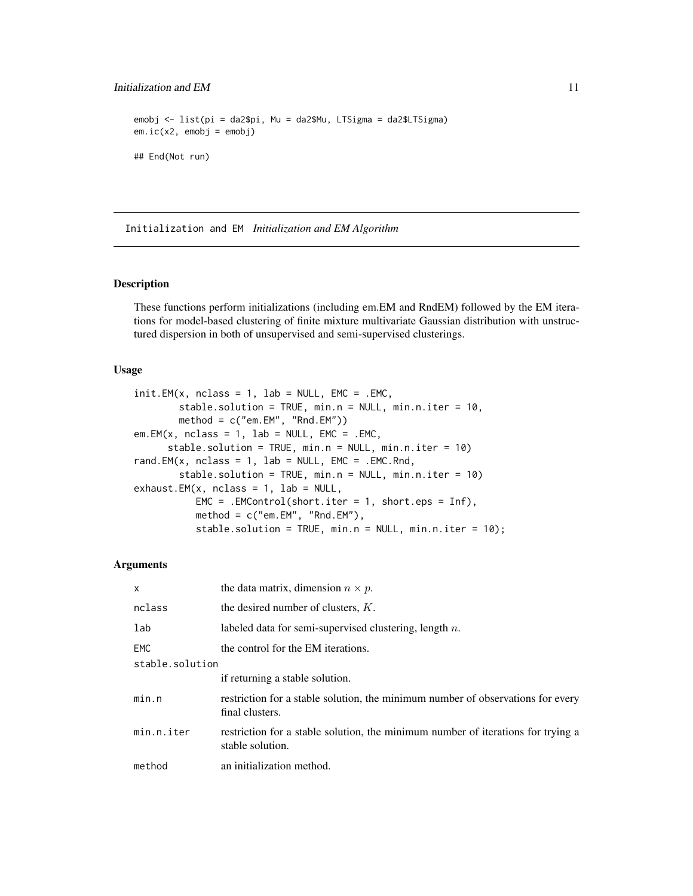# <span id="page-10-0"></span>Initialization and EM 11

```
emobj <- list(pi = da2$pi, Mu = da2$Mu, LTSigma = da2$LTSigma)
em.i c(x2, emobj = emobj)## End(Not run)
```
Initialization and EM *Initialization and EM Algorithm*

#### <span id="page-10-1"></span>Description

These functions perform initializations (including em.EM and RndEM) followed by the EM iterations for model-based clustering of finite mixture multivariate Gaussian distribution with unstructured dispersion in both of unsupervised and semi-supervised clusterings.

#### Usage

```
init.EM(x, nclass = 1, lab = NULL, EMC = .EMC,stable.solution = TRUE, min.n = NULL, min.n.iter = 10,
       method = c("em.EM", "Rnd.EM"))em.EM(x, nclass = 1, lab = NULL, EMC = .EMC,stable.solution = TRUE, min.n = NULL, min.n.iter = 10)
rand.EM(x, nclass = 1, lab = NULL, EMC = .EMC.Rnd,
       stable.solution = TRUE, min.n = NULL, min.n.iter = 10)
exhaust.EM(x, nclass = 1, lab = NULL,EMC = .EMControl(short.iter = 1, short.eps = Inf),method = c("em.EM", "Rnd.EM"),stable.solution = TRUE, min.n = NULL, min.n.iter = 10);
```

| X               | the data matrix, dimension $n \times p$ .                                                            |
|-----------------|------------------------------------------------------------------------------------------------------|
| nclass          | the desired number of clusters, $K$ .                                                                |
| lab             | labeled data for semi-supervised clustering, length $n$ .                                            |
| EMC.            | the control for the EM iterations.                                                                   |
| stable.solution |                                                                                                      |
|                 | if returning a stable solution.                                                                      |
| min.n           | restriction for a stable solution, the minimum number of observations for every<br>final clusters.   |
| min.n.iter      | restriction for a stable solution, the minimum number of iterations for trying a<br>stable solution. |
| method          | an initialization method.                                                                            |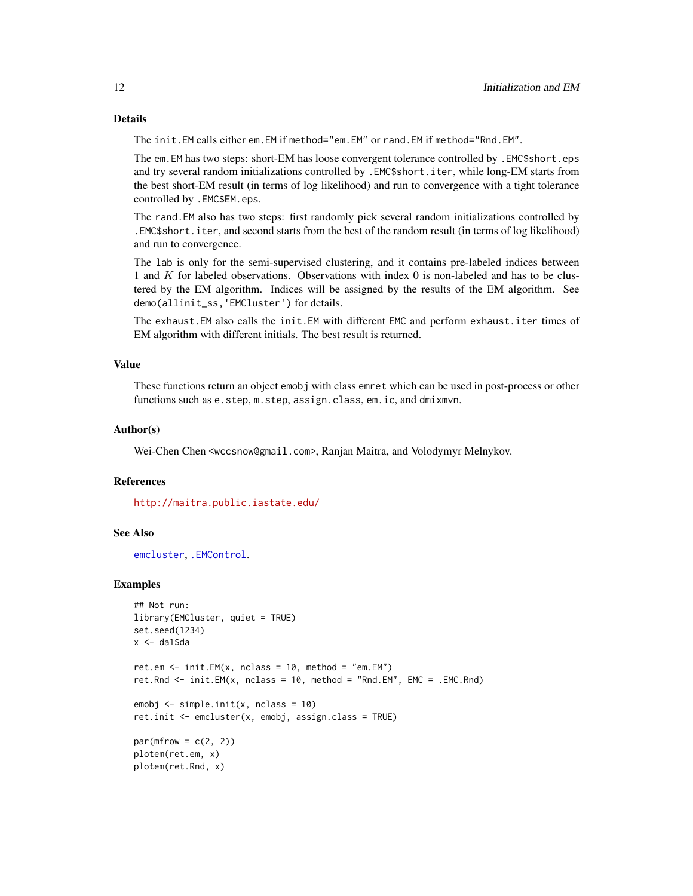# Details

The init.EM calls either em.EM if method="em.EM" or rand.EM if method="Rnd.EM".

The em.EM has two steps: short-EM has loose convergent tolerance controlled by .EMC\$short.eps and try several random initializations controlled by .EMC\$short.iter, while long-EM starts from the best short-EM result (in terms of log likelihood) and run to convergence with a tight tolerance controlled by .EMC\$EM.eps.

The rand.EM also has two steps: first randomly pick several random initializations controlled by .EMC\$short.iter, and second starts from the best of the random result (in terms of log likelihood) and run to convergence.

The lab is only for the semi-supervised clustering, and it contains pre-labeled indices between 1 and K for labeled observations. Observations with index 0 is non-labeled and has to be clustered by the EM algorithm. Indices will be assigned by the results of the EM algorithm. See demo(allinit\_ss,'EMCluster') for details.

The exhaust.EM also calls the init.EM with different EMC and perform exhaust.iter times of EM algorithm with different initials. The best result is returned.

#### Value

These functions return an object emobj with class emret which can be used in post-process or other functions such as e.step, m.step, assign.class, em.ic, and dmixmvn.

#### Author(s)

Wei-Chen Chen <wccsnow@gmail.com>, Ranjan Maitra, and Volodymyr Melnykov.

#### References

<http://maitra.public.iastate.edu/>

#### See Also

[emcluster](#page-5-1), [.EMControl](#page-7-1).

```
## Not run:
library(EMCluster, quiet = TRUE)
set.seed(1234)
x < - da1$da
ret.em <- init.EM(x, nclass = 10, method = "em.EM")ret.Rnd <- init.EM(x, nclass = 10, method = "Rnd.EM", EMC = .EMC.Rnd)
emobj <- simple.init(x, nclass = 10)
ret.init <- emcluster(x, emobj, assign.class = TRUE)
par(mfrow = c(2, 2))plotem(ret.em, x)
plotem(ret.Rnd, x)
```
<span id="page-11-0"></span>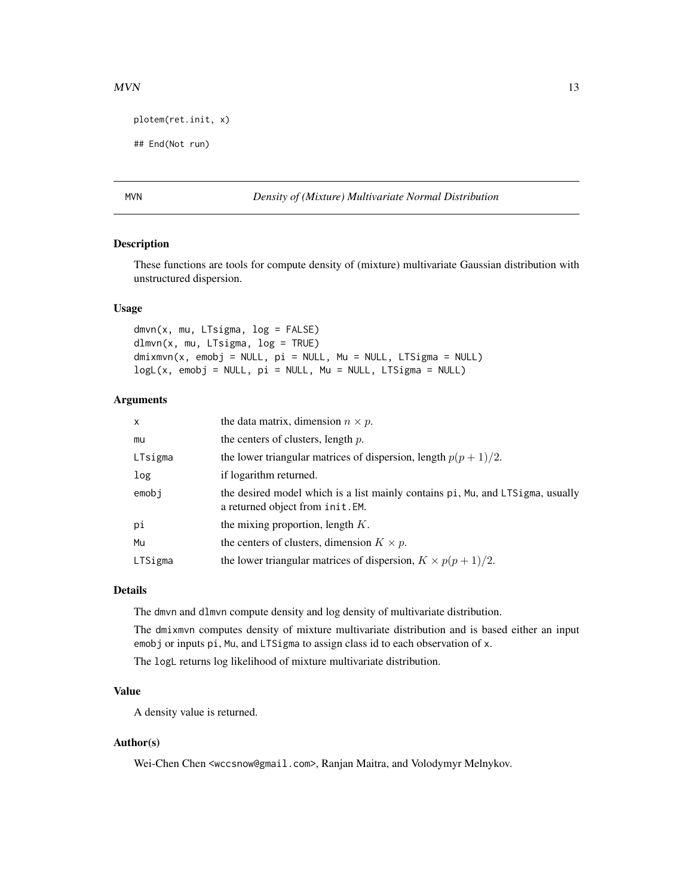#### <span id="page-12-0"></span> $MVN$  13

```
plotem(ret.init, x)
```
## End(Not run)

#### MVN *Density of (Mixture) Multivariate Normal Distribution*

#### Description

These functions are tools for compute density of (mixture) multivariate Gaussian distribution with unstructured dispersion.

#### Usage

dmvn(x, mu, LTsigma, log = FALSE) dlmvn(x, mu, LTsigma, log = TRUE) dmixmvn(x, emobj = NULL, pi = NULL, Mu = NULL, LTSigma = NULL)  $logL(x, embj = NULL, pi = NULL, Mu = NULL, LTSigma = NULL)$ 

#### Arguments

| x       | the data matrix, dimension $n \times p$ .                                                                          |
|---------|--------------------------------------------------------------------------------------------------------------------|
| mu      | the centers of clusters, length $p$ .                                                                              |
| LTsigma | the lower triangular matrices of dispersion, length $p(p+1)/2$ .                                                   |
| log     | if logarithm returned.                                                                                             |
| emobi   | the desired model which is a list mainly contains pi, Mu, and LTSigma, usually<br>a returned object from init. EM. |
| pi      | the mixing proportion, length $K$ .                                                                                |
| Mu      | the centers of clusters, dimension $K \times p$ .                                                                  |
| LTSigma | the lower triangular matrices of dispersion, $K \times p(p+1)/2$ .                                                 |

#### Details

The dmvn and dlmvn compute density and log density of multivariate distribution.

The dmixmvn computes density of mixture multivariate distribution and is based either an input emobj or inputs pi, Mu, and LTSigma to assign class id to each observation of x.

The logL returns log likelihood of mixture multivariate distribution.

# Value

A density value is returned.

#### Author(s)

Wei-Chen Chen <wccsnow@gmail.com>, Ranjan Maitra, and Volodymyr Melnykov.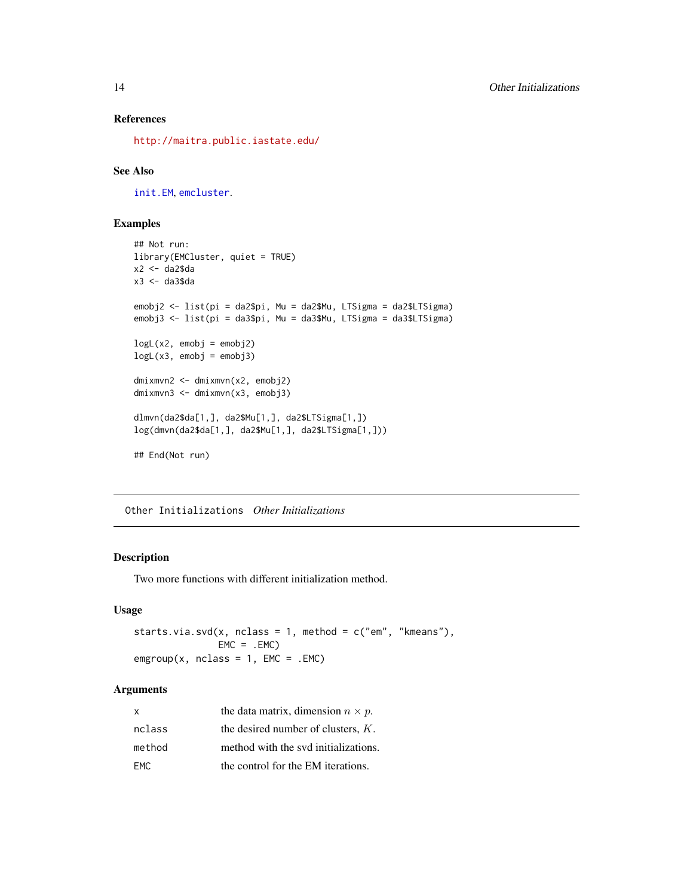# References

<http://maitra.public.iastate.edu/>

# See Also

[init.EM](#page-10-1), [emcluster](#page-5-1).

# Examples

```
## Not run:
library(EMCluster, quiet = TRUE)
x2 <- da2$da
x3 <- da3$da
emobj2 <- list(pi = da2$pi, Mu = da2$Mu, LTSigma = da2$LTSigma)
emobj3 <- list(pi = da3$pi, Mu = da3$Mu, LTSigma = da3$LTSigma)
logL(x2, embj = embj2)logL(x3, embj = embj3)dmixmvn2 <- dmixmvn(x2, emobj2)
dmixmvn3 <- dmixmvn(x3, emobj3)
dlmvn(da2$da[1,], da2$Mu[1,], da2$LTSigma[1,])
log(dmvn(da2$da[1,], da2$Mu[1,], da2$LTSigma[1,]))
## End(Not run)
```
Other Initializations *Other Initializations*

#### <span id="page-13-1"></span>Description

Two more functions with different initialization method.

# Usage

```
starts.via.svd(x, nclass = 1, method = c("em", "kmeans"),EMC = .EMC\text{emgroup}(x, \text{nclass} = 1, \text{EMC} = . \text{EMC})
```

| x      | the data matrix, dimension $n \times p$ . |
|--------|-------------------------------------------|
| nclass | the desired number of clusters, $K$ .     |
| method | method with the svd initializations.      |
| FMC.   | the control for the EM iterations.        |

<span id="page-13-0"></span>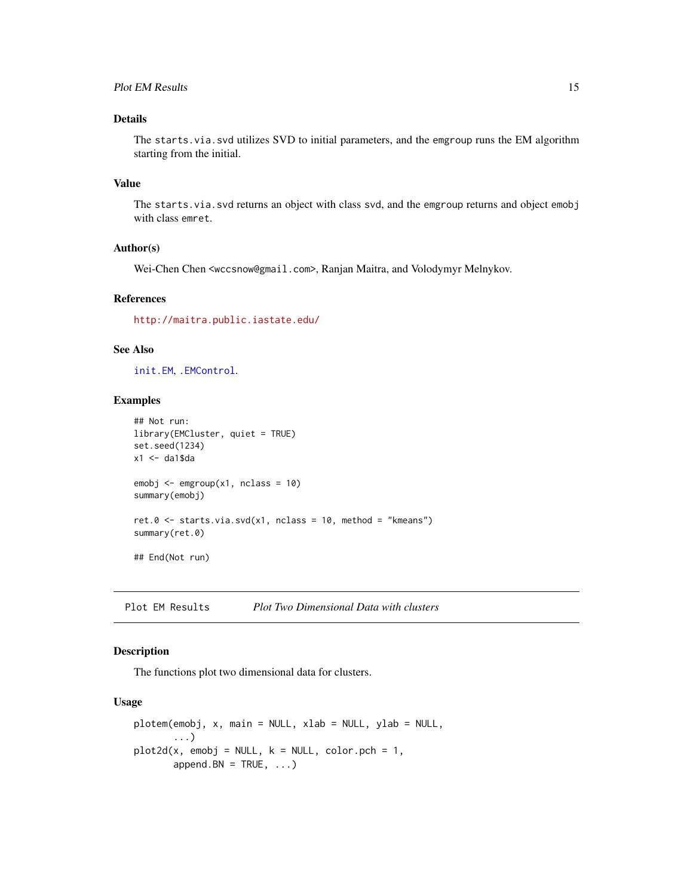# <span id="page-14-0"></span>Plot EM Results 15

# Details

The starts.via.svd utilizes SVD to initial parameters, and the emgroup runs the EM algorithm starting from the initial.

#### Value

The starts. via. svd returns an object with class svd, and the emgroup returns and object emobj with class emret.

### Author(s)

Wei-Chen Chen <wccsnow@gmail.com>, Ranjan Maitra, and Volodymyr Melnykov.

# References

<http://maitra.public.iastate.edu/>

#### See Also

[init.EM](#page-10-1), [.EMControl](#page-7-1).

# Examples

```
## Not run:
library(EMCluster, quiet = TRUE)
set.seed(1234)
x1 \leftarrow da1$da
emobj \leq emgroup(x1, nclass = 10)
summary(emobj)
ret.0 \le - starts.via.svd(x1, nclass = 10, method = "kmeans")
summary(ret.0)
## End(Not run)
```
Plot EM Results *Plot Two Dimensional Data with clusters*

#### Description

The functions plot two dimensional data for clusters.

#### Usage

```
plotem(emobj, x, main = NULL, xlab = NULL, ylab = NULL,
       ...)
plot2d(x, embj = NULL, k = NULL, color.pch = 1,append.BN = TRUE, ...)
```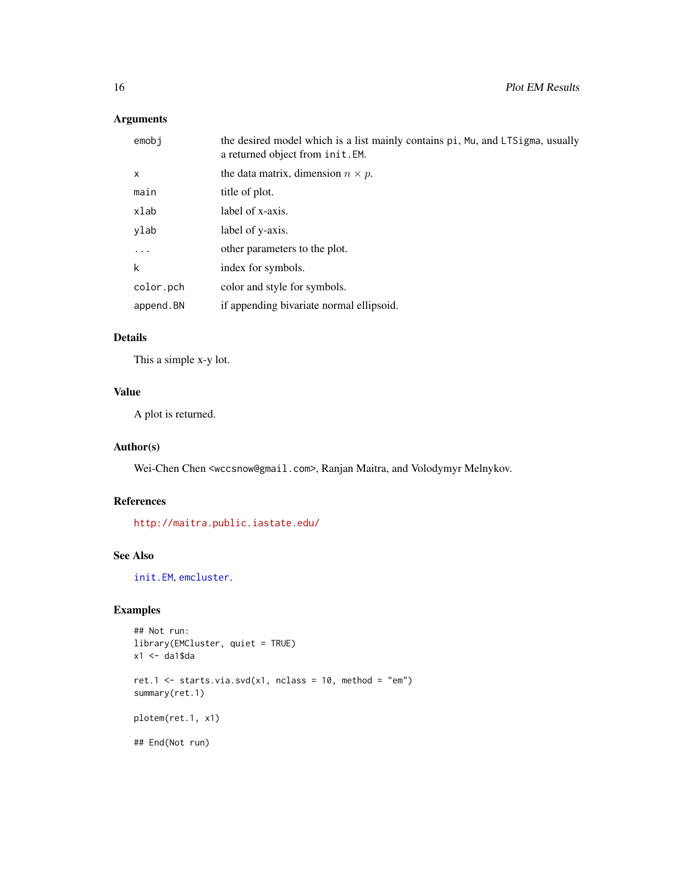# <span id="page-15-0"></span>Arguments

| emobi        | the desired model which is a list mainly contains pi, Mu, and LTSigma, usually<br>a returned object from init. EM. |
|--------------|--------------------------------------------------------------------------------------------------------------------|
| $\mathsf{x}$ | the data matrix, dimension $n \times p$ .                                                                          |
| main         | title of plot.                                                                                                     |
| xlab         | label of x-axis.                                                                                                   |
| ylab         | label of y-axis.                                                                                                   |
| $\cdots$     | other parameters to the plot.                                                                                      |
| k            | index for symbols.                                                                                                 |
| color.pch    | color and style for symbols.                                                                                       |
| append.BN    | if appending bivariate normal ellipsoid.                                                                           |

#### Details

This a simple x-y lot.

# Value

A plot is returned.

# Author(s)

Wei-Chen Chen <wccsnow@gmail.com>, Ranjan Maitra, and Volodymyr Melnykov.

# References

<http://maitra.public.iastate.edu/>

# See Also

[init.EM](#page-10-1), [emcluster](#page-5-1).

```
## Not run:
library(EMCluster, quiet = TRUE)
x1 <- da1$da
ret.1 \le starts.via.svd(x1, nclass = 10, method = "em")
summary(ret.1)
plotem(ret.1, x1)
## End(Not run)
```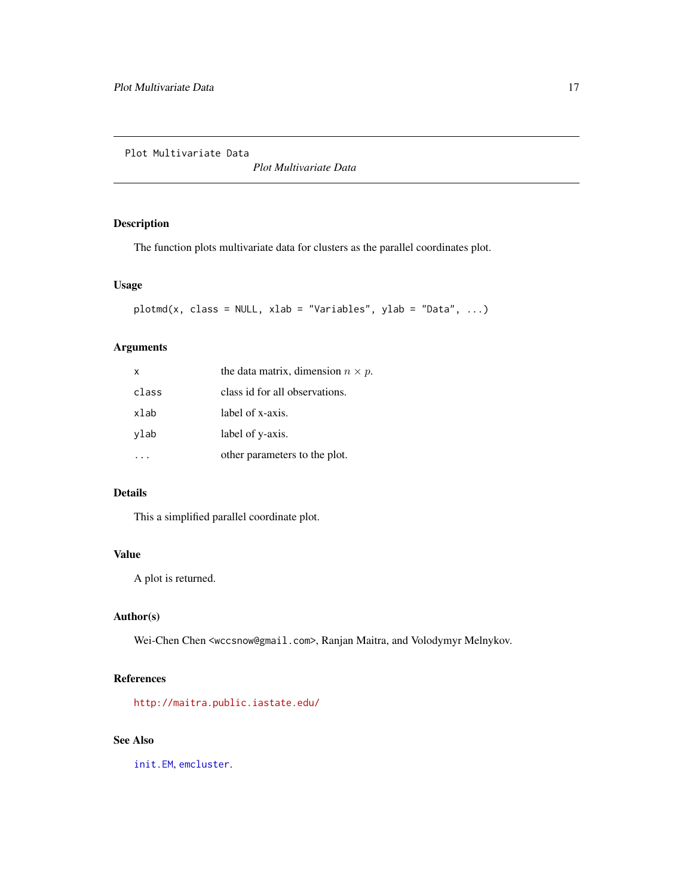<span id="page-16-0"></span>Plot Multivariate Data

*Plot Multivariate Data*

# Description

The function plots multivariate data for clusters as the parallel coordinates plot.

# Usage

 $plotmd(x, class = NULL, xlab = "Variables", ylab = "Data", ...)$ 

# Arguments

| $\mathsf{x}$ | the data matrix, dimension $n \times p$ . |
|--------------|-------------------------------------------|
| class        | class id for all observations.            |
| xlab         | label of x-axis.                          |
| ylab         | label of y-axis.                          |
|              | other parameters to the plot.             |

# Details

This a simplified parallel coordinate plot.

# Value

A plot is returned.

# Author(s)

Wei-Chen Chen <wccsnow@gmail.com>, Ranjan Maitra, and Volodymyr Melnykov.

# References

<http://maitra.public.iastate.edu/>

# See Also

[init.EM](#page-10-1), [emcluster](#page-5-1).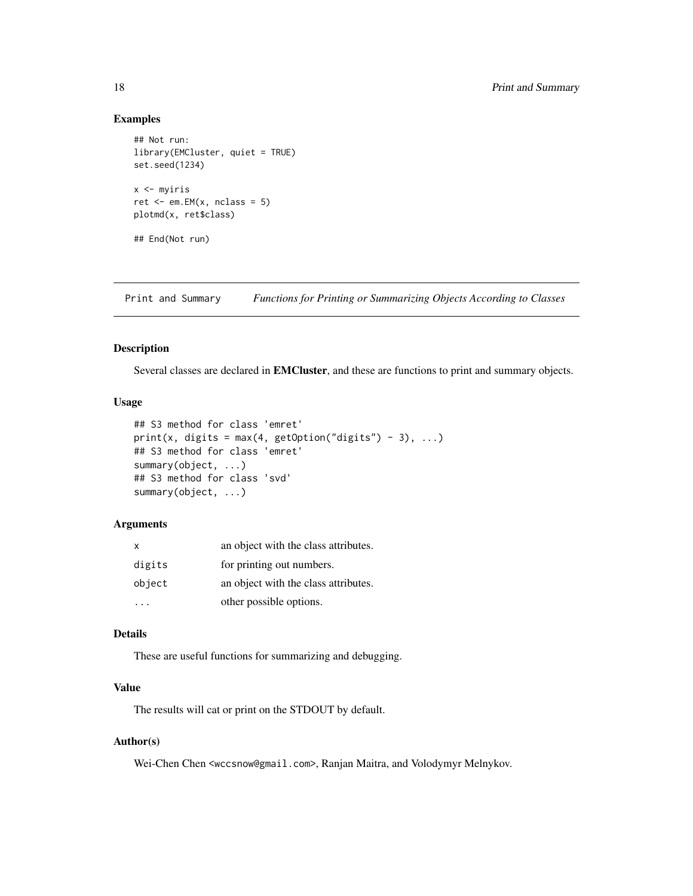#### Examples

```
## Not run:
library(EMCluster, quiet = TRUE)
set.seed(1234)
x <- myiris
ret < -em.EM(x, nclass = 5)plotmd(x, ret$class)
## End(Not run)
```
Print and Summary *Functions for Printing or Summarizing Objects According to Classes*

# Description

Several classes are declared in EMCluster, and these are functions to print and summary objects.

#### Usage

```
## S3 method for class 'emret'
print(x, digits = max(4, getOption("digits") - 3), ...)
## S3 method for class 'emret'
summary(object, ...)
## S3 method for class 'svd'
summary(object, ...)
```
# Arguments

| x      | an object with the class attributes. |
|--------|--------------------------------------|
| digits | for printing out numbers.            |
| object | an object with the class attributes. |
|        | other possible options.              |

# Details

These are useful functions for summarizing and debugging.

# Value

The results will cat or print on the STDOUT by default.

# Author(s)

Wei-Chen Chen <wccsnow@gmail.com>, Ranjan Maitra, and Volodymyr Melnykov.

<span id="page-17-0"></span>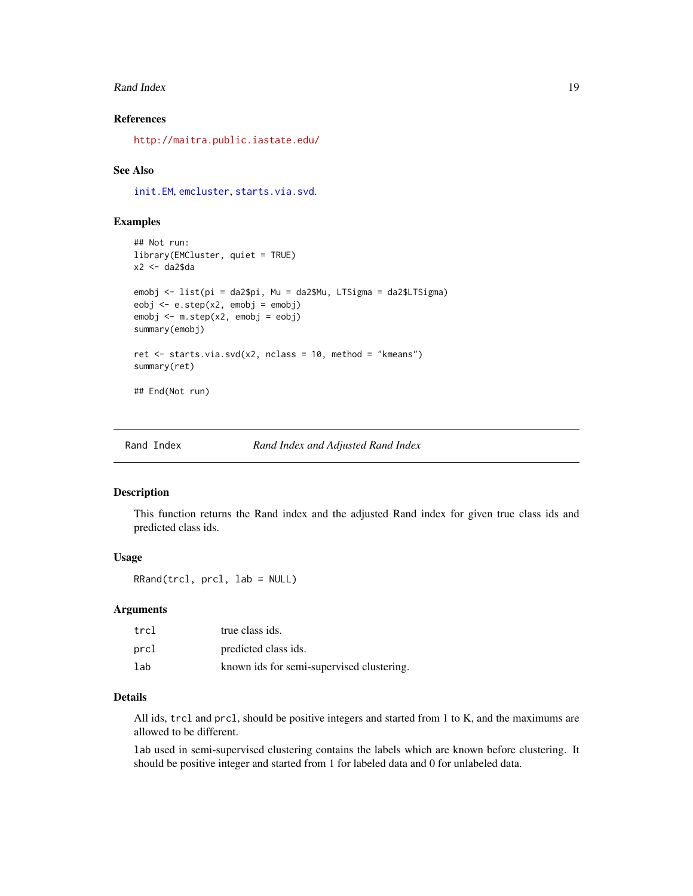#### <span id="page-18-0"></span>Rand Index 2012 19:30 and 19:30 and 19:30 and 19:30 and 19:30 and 19:30 and 19:30 and 19:30 and 19:30 and 19:30 and 19:30 and 19:30 and 19:30 and 19:30 and 19:30 and 19:30 and 19:30 and 19:30 and 19:30 and 19:30 and 19:30

#### References

<http://maitra.public.iastate.edu/>

#### See Also

[init.EM](#page-10-1), [emcluster](#page-5-1), [starts.via.svd](#page-13-1).

#### Examples

```
## Not run:
library(EMCluster, quiet = TRUE)
x2 <- da2$da
emobj <- list(pi = da2$pi, Mu = da2$Mu, LTSigma = da2$LTSigma)
eobj <- e.step(x2, emobj = emobj)
emobj <- m.step(x2, emobj = eobj)
summary(emobj)
ret <- starts.via.svd(x2, nclass = 10, method = "kmeans")
summary(ret)
## End(Not run)
```
Rand Index *Rand Index and Adjusted Rand Index*

#### Description

This function returns the Rand index and the adjusted Rand index for given true class ids and predicted class ids.

# Usage

RRand(trcl, prcl, lab = NULL)

#### **Arguments**

| trcl | true class ids.                           |
|------|-------------------------------------------|
| prcl | predicted class ids.                      |
| lab  | known ids for semi-supervised clustering. |

# Details

All ids, trcl and prcl, should be positive integers and started from 1 to K, and the maximums are allowed to be different.

lab used in semi-supervised clustering contains the labels which are known before clustering. It should be positive integer and started from 1 for labeled data and 0 for unlabeled data.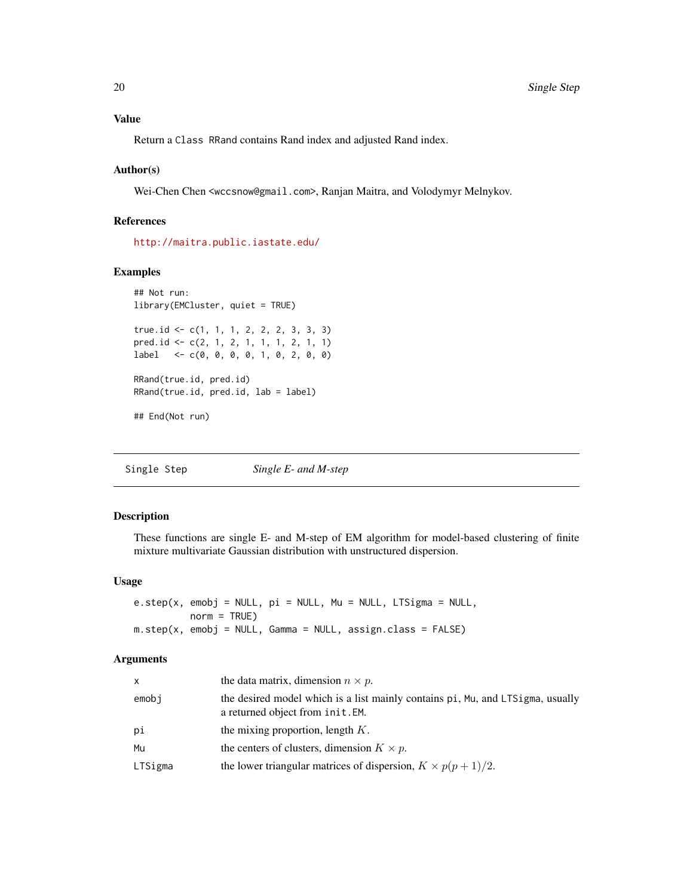<span id="page-19-0"></span>Return a Class RRand contains Rand index and adjusted Rand index.

#### Author(s)

Wei-Chen Chen <wccsnow@gmail.com>, Ranjan Maitra, and Volodymyr Melnykov.

#### References

<http://maitra.public.iastate.edu/>

#### Examples

```
## Not run:
library(EMCluster, quiet = TRUE)
true.id <- c(1, 1, 1, 2, 2, 2, 3, 3, 3)
pred.id <- c(2, 1, 2, 1, 1, 1, 2, 1, 1)
label <- c(0, 0, 0, 0, 1, 0, 2, 0, 0)
RRand(true.id, pred.id)
RRand(true.id, pred.id, lab = label)
## End(Not run)
```
Single Step *Single E- and M-step*

# <span id="page-19-1"></span>Description

These functions are single E- and M-step of EM algorithm for model-based clustering of finite mixture multivariate Gaussian distribution with unstructured dispersion.

# Usage

e.step(x, emobj = NULL, pi = NULL, Mu = NULL, LTSigma = NULL, norm = TRUE)  $m.step(x, embj = NULL, Gamma = NULL, assign.class = FALSE)$ 

| $\mathsf{x}$ | the data matrix, dimension $n \times p$ .                                                                          |
|--------------|--------------------------------------------------------------------------------------------------------------------|
| emobj        | the desired model which is a list mainly contains pi, Mu, and LTSigma, usually<br>a returned object from init. EM. |
| рi           | the mixing proportion, length $K$ .                                                                                |
| Mu           | the centers of clusters, dimension $K \times p$ .                                                                  |
| LTSigma      | the lower triangular matrices of dispersion, $K \times p(p+1)/2$ .                                                 |
|              |                                                                                                                    |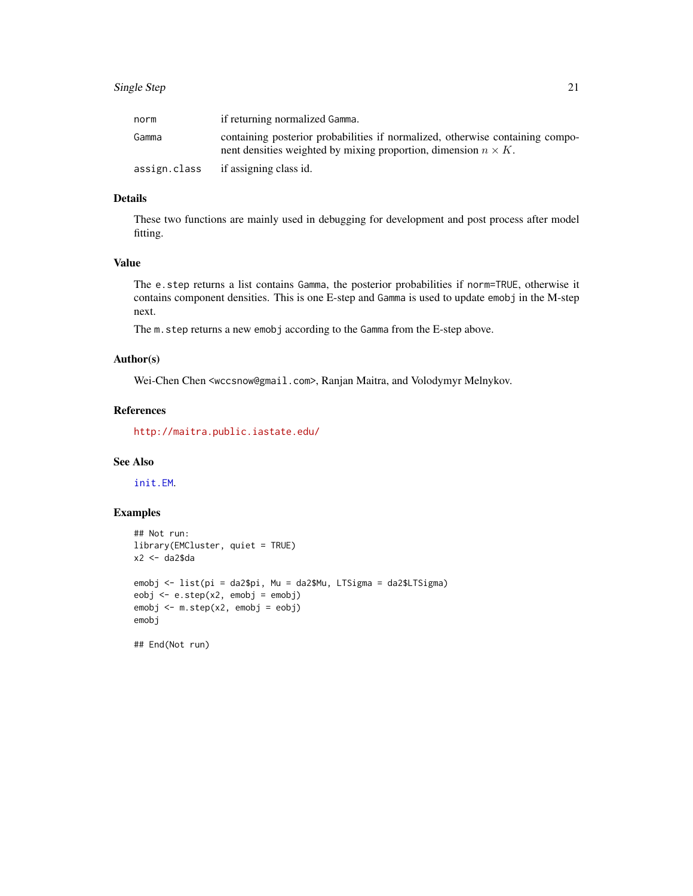# <span id="page-20-0"></span>Single Step 21

| norm         | if returning normalized Gamma.                                                                                                                          |
|--------------|---------------------------------------------------------------------------------------------------------------------------------------------------------|
| Gamma        | containing posterior probabilities if normalized, otherwise containing compo-<br>nent densities weighted by mixing proportion, dimension $n \times K$ . |
| assign.class | if assigning class id.                                                                                                                                  |

# Details

These two functions are mainly used in debugging for development and post process after model fitting.

# Value

The e.step returns a list contains Gamma, the posterior probabilities if norm=TRUE, otherwise it contains component densities. This is one E-step and Gamma is used to update emobj in the M-step next.

The m.step returns a new emobj according to the Gamma from the E-step above.

#### Author(s)

Wei-Chen Chen <wccsnow@gmail.com>, Ranjan Maitra, and Volodymyr Melnykov.

# References

<http://maitra.public.iastate.edu/>

# See Also

[init.EM](#page-10-1).

```
## Not run:
library(EMCluster, quiet = TRUE)
x2 <- da2$da
emobj <- list(pi = da2$pi, Mu = da2$Mu, LTSigma = da2$LTSigma)
eobj <- e.step(x2, emobj = emobj)
emobj <- m.step(x2, emobj = eobj)
emobj
## End(Not run)
```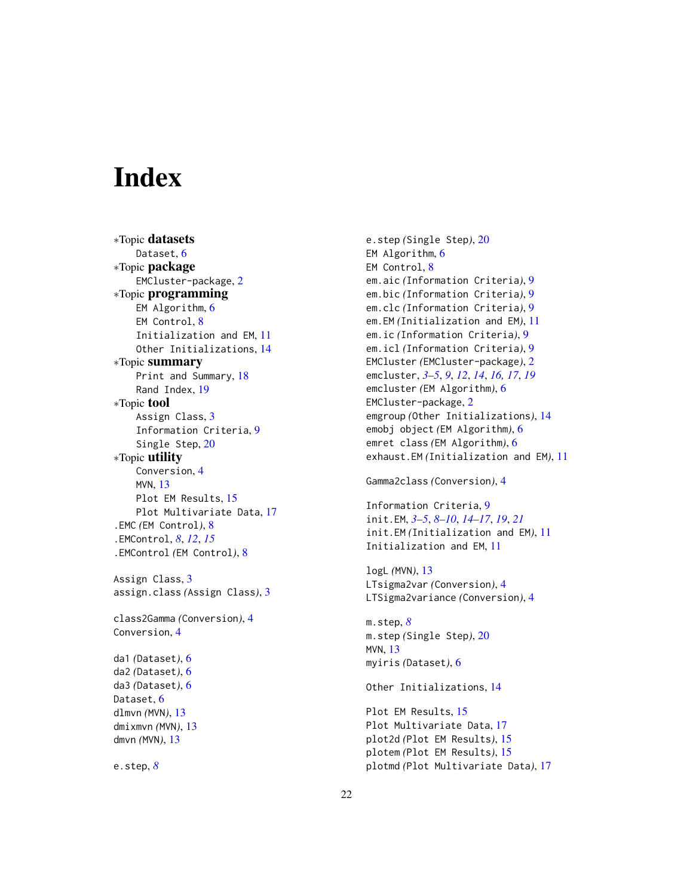# <span id="page-21-0"></span>**Index**

∗Topic datasets Dataset, [6](#page-5-0) ∗Topic package EMCluster-package, [2](#page-1-0) ∗Topic programming EM Algorithm, [6](#page-5-0) EM Control, [8](#page-7-0) Initialization and EM, [11](#page-10-0) Other Initializations, [14](#page-13-0) ∗Topic summary Print and Summary, [18](#page-17-0) Rand Index, [19](#page-18-0) ∗Topic tool Assign Class, [3](#page-2-0) Information Criteria, [9](#page-8-0) Single Step, [20](#page-19-0) ∗Topic utility Conversion, [4](#page-3-0) MVN, [13](#page-12-0) Plot EM Results, [15](#page-14-0) Plot Multivariate Data, [17](#page-16-0) .EMC *(*EM Control*)*, [8](#page-7-0) .EMControl, *[8](#page-7-0)*, *[12](#page-11-0)*, *[15](#page-14-0)* .EMControl *(*EM Control*)*, [8](#page-7-0) Assign Class, [3](#page-2-0) assign.class *(*Assign Class*)*, [3](#page-2-0) class2Gamma *(*Conversion*)*, [4](#page-3-0) Conversion, [4](#page-3-0) da1 *(*Dataset*)*, [6](#page-5-0) da2 *(*Dataset*)*, [6](#page-5-0)

da3 *(*Dataset*)*, [6](#page-5-0) Dataset, [6](#page-5-0) dlmvn *(*MVN*)*, [13](#page-12-0) dmixmvn *(*MVN*)*, [13](#page-12-0) dmvn *(*MVN*)*, [13](#page-12-0)

e.step, *[8](#page-7-0)*

e.step *(*Single Step*)*, [20](#page-19-0) EM Algorithm, [6](#page-5-0) EM Control, [8](#page-7-0) em.aic *(*Information Criteria*)*, [9](#page-8-0) em.bic *(*Information Criteria*)*, [9](#page-8-0) em.clc *(*Information Criteria*)*, [9](#page-8-0) em.EM *(*Initialization and EM*)*, [11](#page-10-0) em.ic *(*Information Criteria*)*, [9](#page-8-0) em.icl *(*Information Criteria*)*, [9](#page-8-0) EMCluster *(*EMCluster-package*)*, [2](#page-1-0) emcluster, *[3](#page-2-0)[–5](#page-4-0)*, *[9](#page-8-0)*, *[12](#page-11-0)*, *[14](#page-13-0)*, *[16,](#page-15-0) [17](#page-16-0)*, *[19](#page-18-0)* emcluster *(*EM Algorithm*)*, [6](#page-5-0) EMCluster-package, [2](#page-1-0) emgroup *(*Other Initializations*)*, [14](#page-13-0) emobj object *(*EM Algorithm*)*, [6](#page-5-0) emret class *(*EM Algorithm*)*, [6](#page-5-0) exhaust.EM *(*Initialization and EM*)*, [11](#page-10-0)

```
Gamma2class (Conversion), 4
```

```
Information Criteria, 9
init.EM, 3–5, 8–10, 14–17, 19, 21
init.EM (Initialization and EM), 11
Initialization and EM, 11
```
logL *(*MVN*)*, [13](#page-12-0) LTsigma2var *(*Conversion*)*, [4](#page-3-0) LTSigma2variance *(*Conversion*)*, [4](#page-3-0)

```
m.step, 8
m.step (Single Step), 20
MVN, 13
myiris (Dataset), 6
```
Other Initializations, [14](#page-13-0)

Plot EM Results, [15](#page-14-0) Plot Multivariate Data, [17](#page-16-0) plot2d *(*Plot EM Results*)*, [15](#page-14-0) plotem *(*Plot EM Results*)*, [15](#page-14-0) plotmd *(*Plot Multivariate Data*)*, [17](#page-16-0)